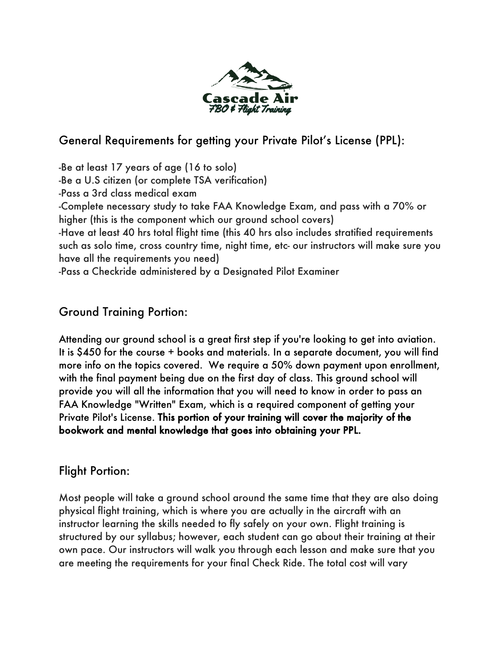

# General Requirements for getting your Private Pilot's License (PPL):

-Be at least 17 years of age (16 to solo) -Be a U.S citizen (or complete TSA verification) -Pass a 3rd class medical exam -Complete necessary study to take FAA Knowledge Exam, and pass with a 70% or higher (this is the component which our ground school covers) -Have at least 40 hrs total flight time (this 40 hrs also includes stratified requirements such as solo time, cross country time, night time, etc- our instructors will make sure you have all the requirements you need) -Pass a Checkride administered by a Designated Pilot Examiner

# Ground Training Portion:

Attending our ground school is a great first step if you're looking to get into aviation. It is \$450 for the course + books and materials. In a separate document, you will find more info on the topics covered. We require a 50% down payment upon enrollment, with the final payment being due on the first day of class. This ground school will provide you will all the information that you will need to know in order to pass an FAA Knowledge "Written" Exam, which is a required component of getting your Private Pilot's License. This portion of your training will cover the majority of the bookwork and mental knowledge that goes into obtaining your PPL.

## Flight Portion:

Most people will take a ground school around the same time that they are also doing physical flight training, which is where you are actually in the aircraft with an instructor learning the skills needed to fly safely on your own. Flight training is structured by our syllabus; however, each student can go about their training at their own pace. Our instructors will walk you through each lesson and make sure that you are meeting the requirements for your final Check Ride. The total cost will vary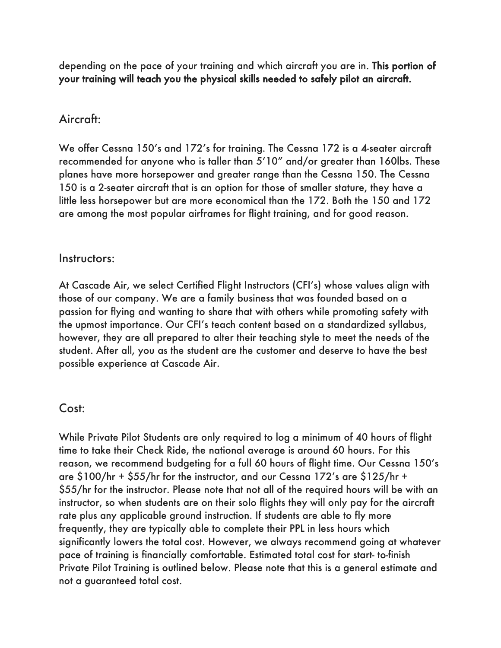depending on the pace of your training and which aircraft you are in. This portion of your training will teach you the physical skills needed to safely pilot an aircraft.

### Aircraft:

We offer Cessna 150's and 172's for training. The Cessna 172 is a 4-seater aircraft recommended for anyone who is taller than 5'10" and/or greater than 160lbs. These planes have more horsepower and greater range than the Cessna 150. The Cessna 150 is a 2-seater aircraft that is an option for those of smaller stature, they have a little less horsepower but are more economical than the 172. Both the 150 and 172 are among the most popular airframes for flight training, and for good reason.

#### Instructors:

At Cascade Air, we select Certified Flight Instructors (CFI's) whose values align with those of our company. We are a family business that was founded based on a passion for flying and wanting to share that with others while promoting safety with the upmost importance. Our CFI's teach content based on a standardized syllabus, however, they are all prepared to alter their teaching style to meet the needs of the student. After all, you as the student are the customer and deserve to have the best possible experience at Cascade Air.

#### Cost:

While Private Pilot Students are only required to log a minimum of 40 hours of flight time to take their Check Ride, the national average is around 60 hours. For this reason, we recommend budgeting for a full 60 hours of flight time. Our Cessna 150's are \$100/hr + \$55/hr for the instructor, and our Cessna 172's are \$125/hr + \$55/hr for the instructor. Please note that not all of the required hours will be with an instructor, so when students are on their solo flights they will only pay for the aircraft rate plus any applicable ground instruction. If students are able to fly more frequently, they are typically able to complete their PPL in less hours which significantly lowers the total cost. However, we always recommend going at whatever pace of training is financially comfortable. Estimated total cost for start- to-finish Private Pilot Training is outlined below. Please note that this is a general estimate and not a guaranteed total cost.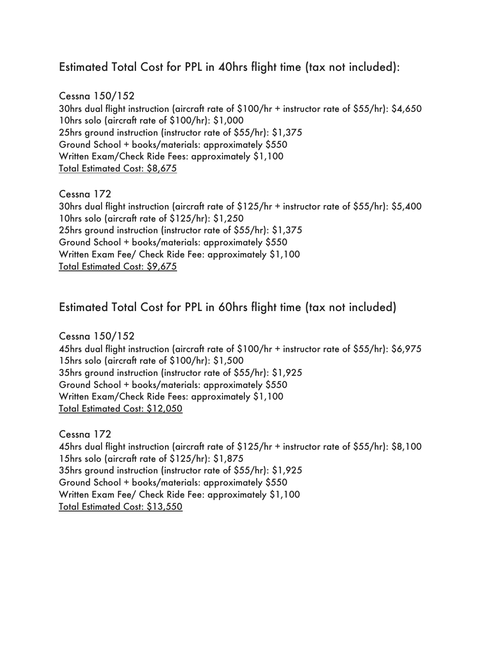## Estimated Total Cost for PPL in 40hrs flight time (tax not included):

Cessna 150/152 30hrs dual flight instruction (aircraft rate of \$100/hr + instructor rate of \$55/hr): \$4,650 10hrs solo (aircraft rate of \$100/hr): \$1,000 25hrs ground instruction (instructor rate of \$55/hr): \$1,375 Ground School + books/materials: approximately \$550 Written Exam/Check Ride Fees: approximately \$1,100 Total Estimated Cost: \$8,675

Cessna 172

30hrs dual flight instruction (aircraft rate of \$125/hr + instructor rate of \$55/hr): \$5,400 10hrs solo (aircraft rate of \$125/hr): \$1,250 25hrs ground instruction (instructor rate of \$55/hr): \$1,375 Ground School + books/materials: approximately \$550 Written Exam Fee/ Check Ride Fee: approximately \$1,100 Total Estimated Cost: \$9,675

### Estimated Total Cost for PPL in 60hrs flight time (tax not included)

Cessna 150/152 45hrs dual flight instruction (aircraft rate of \$100/hr + instructor rate of \$55/hr): \$6,975 15hrs solo (aircraft rate of \$100/hr): \$1,500 35hrs ground instruction (instructor rate of \$55/hr): \$1,925 Ground School + books/materials: approximately \$550 Written Exam/Check Ride Fees: approximately \$1,100 Total Estimated Cost: \$12,050

Cessna 172 45hrs dual flight instruction (aircraft rate of \$125/hr + instructor rate of \$55/hr): \$8,100 15hrs solo (aircraft rate of \$125/hr): \$1,875 35hrs ground instruction (instructor rate of \$55/hr): \$1,925 Ground School + books/materials: approximately \$550 Written Exam Fee/ Check Ride Fee: approximately \$1,100 Total Estimated Cost: \$13,550